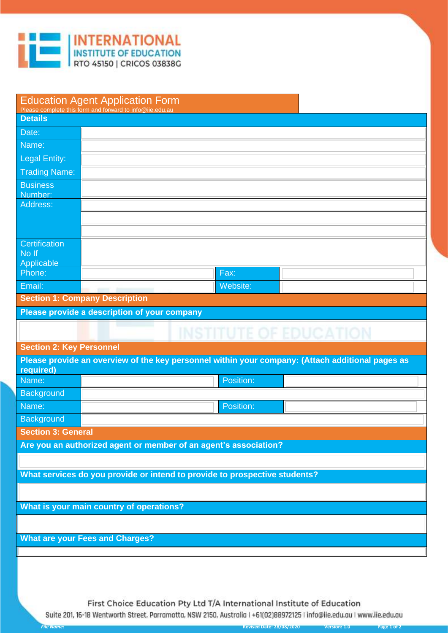

| <b>Education Agent Application Form</b><br>Please complete this form and forward to info@iie.edu.au |                                                                                                  |  |  |  |  |
|-----------------------------------------------------------------------------------------------------|--------------------------------------------------------------------------------------------------|--|--|--|--|
| <b>Details</b>                                                                                      |                                                                                                  |  |  |  |  |
| Date:                                                                                               |                                                                                                  |  |  |  |  |
| Name:                                                                                               |                                                                                                  |  |  |  |  |
| <b>Legal Entity:</b>                                                                                |                                                                                                  |  |  |  |  |
| <b>Trading Name:</b>                                                                                |                                                                                                  |  |  |  |  |
| <b>Business</b>                                                                                     |                                                                                                  |  |  |  |  |
| Number:<br>Address:                                                                                 |                                                                                                  |  |  |  |  |
|                                                                                                     |                                                                                                  |  |  |  |  |
|                                                                                                     |                                                                                                  |  |  |  |  |
| Certification                                                                                       |                                                                                                  |  |  |  |  |
| No If                                                                                               |                                                                                                  |  |  |  |  |
| Applicable                                                                                          |                                                                                                  |  |  |  |  |
| Phone:                                                                                              | Fax:                                                                                             |  |  |  |  |
| Email:                                                                                              | Website:                                                                                         |  |  |  |  |
|                                                                                                     | <b>Section 1: Company Description</b>                                                            |  |  |  |  |
|                                                                                                     | Please provide a description of your company                                                     |  |  |  |  |
|                                                                                                     |                                                                                                  |  |  |  |  |
|                                                                                                     | <b>INSTITUTE OF EDUCATION</b>                                                                    |  |  |  |  |
| <b>Section 2: Key Personnel</b>                                                                     |                                                                                                  |  |  |  |  |
| required)                                                                                           | Please provide an overview of the key personnel within your company: (Attach additional pages as |  |  |  |  |
| Name:                                                                                               | Position:                                                                                        |  |  |  |  |
| Background                                                                                          |                                                                                                  |  |  |  |  |
| Name:                                                                                               | Position:                                                                                        |  |  |  |  |
| <b>Background</b>                                                                                   |                                                                                                  |  |  |  |  |
| <b>Section 3: General</b>                                                                           |                                                                                                  |  |  |  |  |
|                                                                                                     | Are you an authorized agent or member of an agent's association?                                 |  |  |  |  |
|                                                                                                     |                                                                                                  |  |  |  |  |
|                                                                                                     | What services do you provide or intend to provide to prospective students?                       |  |  |  |  |
|                                                                                                     |                                                                                                  |  |  |  |  |
|                                                                                                     | What is your main country of operations?                                                         |  |  |  |  |
|                                                                                                     |                                                                                                  |  |  |  |  |
|                                                                                                     |                                                                                                  |  |  |  |  |
|                                                                                                     | <b>What are your Fees and Charges?</b>                                                           |  |  |  |  |

First Choice Education Pty Ltd T/A International Institute of Education Suite 201, 16-18 Wentworth Street, Parramatta, NSW 2150, Australia | +61(02)88972125 | info@iie.edu.au | www.iie.edu.au

*File Name:* **Revised Date: 28/08/2020 Version: 1.0 Page 1 of 2**